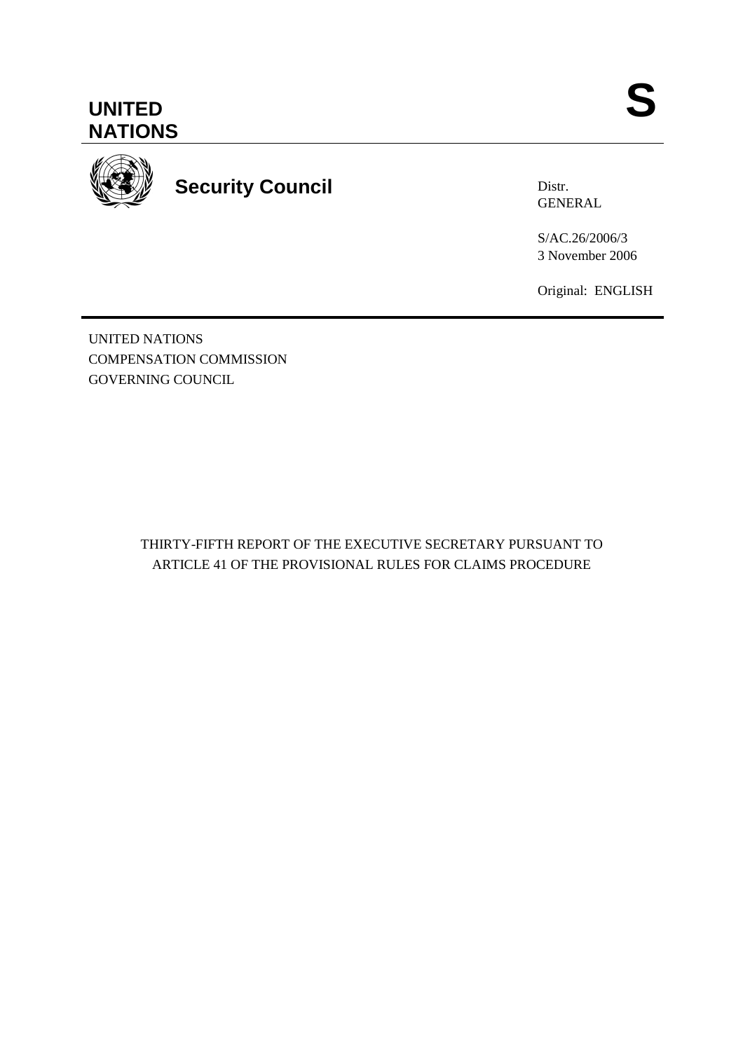



**Security Council** 

Distr. GENERAL

S/AC.26/2006/3 3 November 2006

Original: ENGLISH

UNITED NATIONS COMPENSATION COMMISSION GOVERNING COUNCIL

> THIRTY-FIFTH REPORT OF THE EXECUTIVE SECRETARY PURSUANT TO ARTICLE 41 OF THE PROVISIONAL RULES FOR CLAIMS PROCEDURE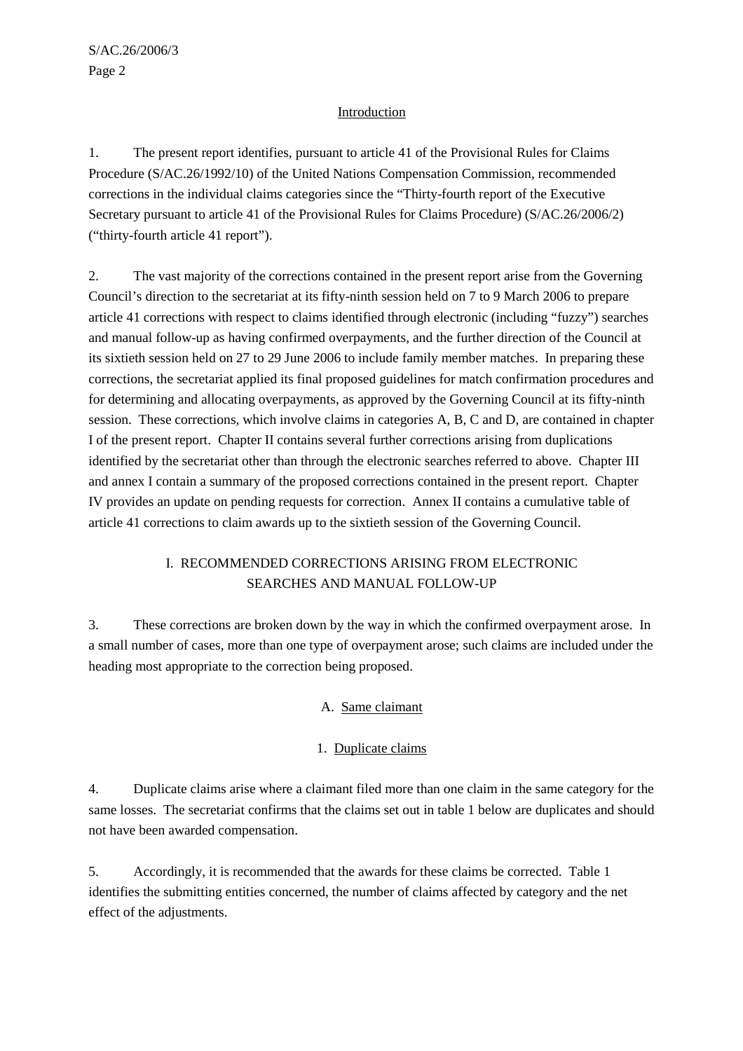# Introduction

1. The present report identifies, pursuant to article 41 of the Provisional Rules for Claims Procedure (S/AC.26/1992/10) of the United Nations Compensation Commission, recommended corrections in the individual claims categories since the "Thirty-fourth report of the Executive Secretary pursuant to article 41 of the Provisional Rules for Claims Procedure) (S/AC.26/2006/2) ("thirty-fourth article 41 report").

2. The vast majority of the corrections contained in the present report arise from the Governing Council's direction to the secretariat at its fifty-ninth session held on 7 to 9 March 2006 to prepare article 41 corrections with respect to claims identified through electronic (including "fuzzy") searches and manual follow-up as having confirmed overpayments, and the further direction of the Council at its sixtieth session held on 27 to 29 June 2006 to include family member matches. In preparing these corrections, the secretariat applied its final proposed guidelines for match confirmation procedures and for determining and allocating overpayments, as approved by the Governing Council at its fifty-ninth session. These corrections, which involve claims in categories A, B, C and D, are contained in chapter I of the present report. Chapter II contains several further corrections arising from duplications identified by the secretariat other than through the electronic searches referred to above. Chapter III and annex I contain a summary of the proposed corrections contained in the present report. Chapter IV provides an update on pending requests for correction. Annex II contains a cumulative table of article 41 corrections to claim awards up to the sixtieth session of the Governing Council.

# I. RECOMMENDED CORRECTIONS ARISING FROM ELECTRONIC SEARCHES AND MANUAL FOLLOW-UP

3. These corrections are broken down by the way in which the confirmed overpayment arose. In a small number of cases, more than one type of overpayment arose; such claims are included under the heading most appropriate to the correction being proposed.

# A. Same claimant

# 1. Duplicate claims

4. Duplicate claims arise where a claimant filed more than one claim in the same category for the same losses. The secretariat confirms that the claims set out in table 1 below are duplicates and should not have been awarded compensation.

5. Accordingly, it is recommended that the awards for these claims be corrected. Table 1 identifies the submitting entities concerned, the number of claims affected by category and the net effect of the adjustments.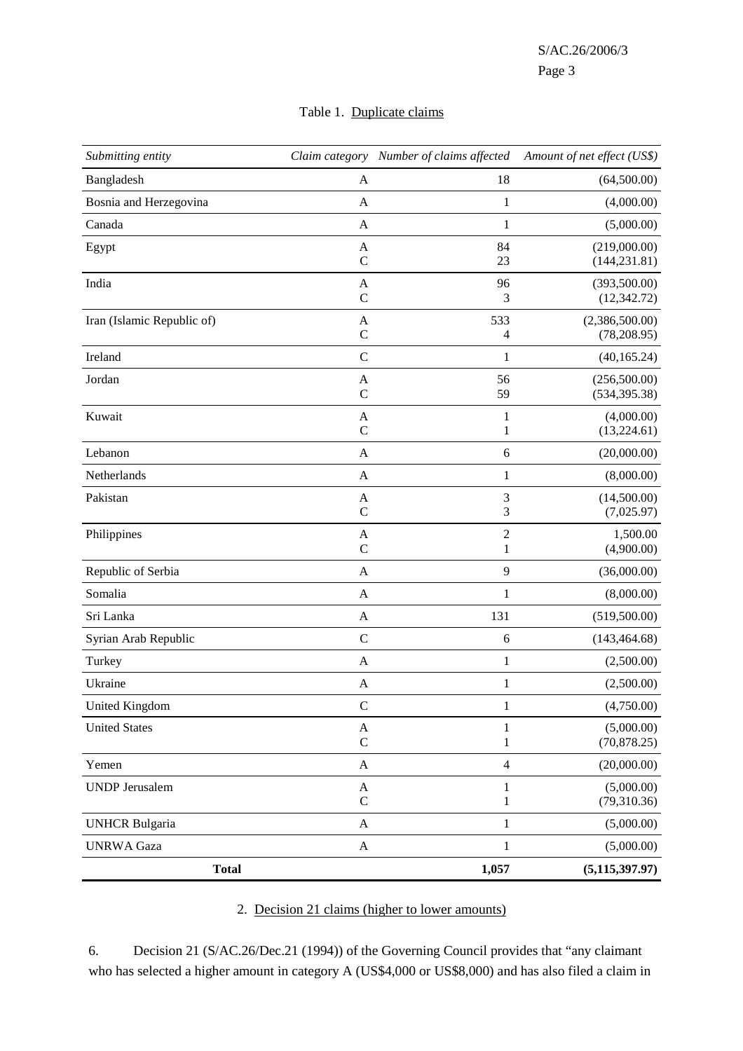# Table 1. Duplicate claims

| Submitting entity          |                           | Claim category Number of claims affected | Amount of net effect (US\$)    |
|----------------------------|---------------------------|------------------------------------------|--------------------------------|
| Bangladesh                 | A                         | 18                                       | (64,500.00)                    |
| Bosnia and Herzegovina     | A                         | $\mathbf{1}$                             | (4,000.00)                     |
| Canada                     | $\mathbf{A}$              | $\mathbf{1}$                             | (5,000.00)                     |
| Egypt                      | A<br>$\mathsf{C}$         | 84<br>23                                 | (219,000.00)<br>(144, 231.81)  |
| India                      | A<br>$\mathbf C$          | 96<br>3                                  | (393,500.00)<br>(12, 342.72)   |
| Iran (Islamic Republic of) | A<br>$\mathbf C$          | 533<br>4                                 | (2,386,500.00)<br>(78, 208.95) |
| Ireland                    | $\mathbf C$               | $\mathbf{1}$                             | (40, 165.24)                   |
| Jordan                     | A<br>$\mathbf C$          | 56<br>59                                 | (256,500.00)<br>(534, 395.38)  |
| Kuwait                     | A<br>$\mathcal{C}$        | $\mathbf{1}$<br>1                        | (4,000.00)<br>(13,224.61)      |
| Lebanon                    | A                         | 6                                        | (20,000.00)                    |
| Netherlands                | A                         | 1                                        | (8,000.00)                     |
| Pakistan                   | A<br>$\mathcal{C}$        | 3<br>3                                   | (14,500.00)<br>(7,025.97)      |
| Philippines                | A<br>$\mathbf C$          | $\mathfrak 2$<br>$\mathbf{1}$            | 1,500.00<br>(4,900.00)         |
| Republic of Serbia         | $\mathbf{A}$              | 9                                        | (36,000.00)                    |
| Somalia                    | $\mathbf{A}$              | $\mathbf{1}$                             | (8,000.00)                     |
| Sri Lanka                  | A                         | 131                                      | (519,500.00)                   |
| Syrian Arab Republic       | $\mathsf C$               | 6                                        | (143, 464.68)                  |
| Turkey                     | $\mathbf{A}$              | $\mathbf{1}$                             | (2,500.00)                     |
| Ukraine                    | A                         | 1                                        | (2,500.00)                     |
| United Kingdom             | C                         | 1                                        | (4,750.00)                     |
| <b>United States</b>       | A<br>$\mathsf{C}$         | 1<br>1                                   | (5,000.00)<br>(70, 878.25)     |
| Yemen                      | $\mathbf{A}$              | $\overline{4}$                           | (20,000.00)                    |
| <b>UNDP</b> Jerusalem      | $\mathbf{A}$<br>${\bf C}$ | 1<br>$\mathbf{1}$                        | (5,000.00)<br>(79,310.36)      |
| <b>UNHCR Bulgaria</b>      | $\mathbf{A}$              | $\,1\,$                                  | (5,000.00)                     |
| <b>UNRWA</b> Gaza          | $\mathbf{A}$              | $\,1$                                    | (5,000.00)                     |
| <b>Total</b>               |                           | 1,057                                    | (5, 115, 397.97)               |

# 2. Decision 21 claims (higher to lower amounts)

6. Decision 21 (S/AC.26/Dec.21 (1994)) of the Governing Council provides that "any claimant who has selected a higher amount in category A (US\$4,000 or US\$8,000) and has also filed a claim in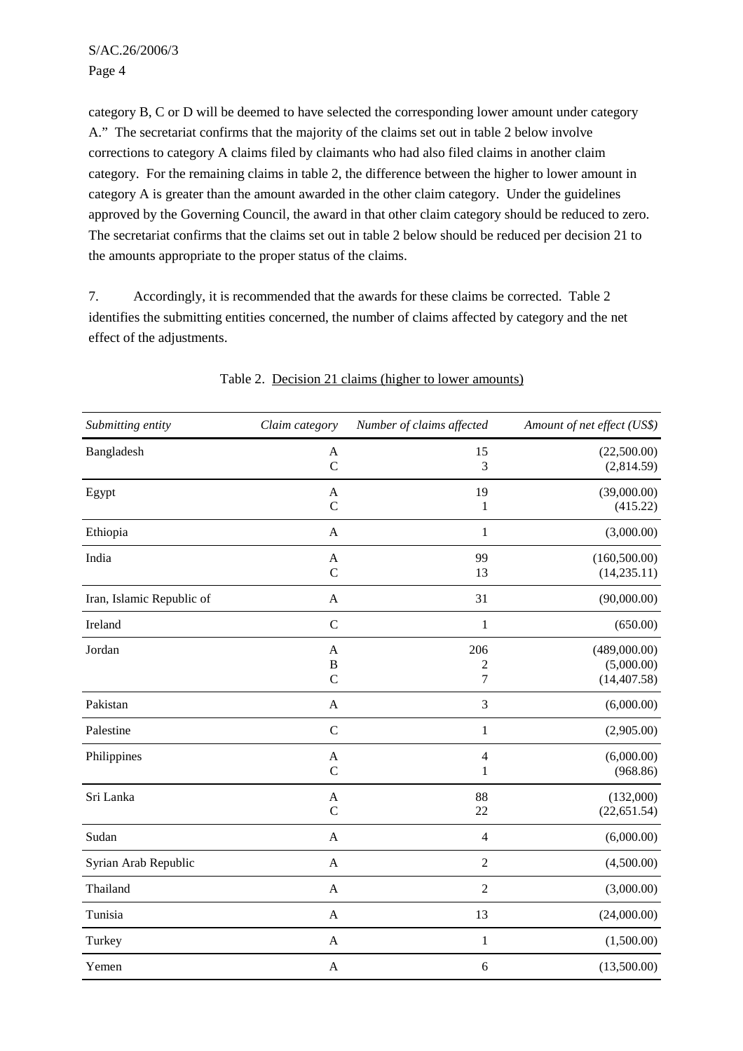category B, C or D will be deemed to have selected the corresponding lower amount under category A." The secretariat confirms that the majority of the claims set out in table 2 below involve corrections to category A claims filed by claimants who had also filed claims in another claim category. For the remaining claims in table 2, the difference between the higher to lower amount in category A is greater than the amount awarded in the other claim category. Under the guidelines approved by the Governing Council, the award in that other claim category should be reduced to zero. The secretariat confirms that the claims set out in table 2 below should be reduced per decision 21 to the amounts appropriate to the proper status of the claims.

7. Accordingly, it is recommended that the awards for these claims be corrected. Table 2 identifies the submitting entities concerned, the number of claims affected by category and the net effect of the adjustments.

| Submitting entity         | Claim category               | Number of claims affected | Amount of net effect (US\$)                |
|---------------------------|------------------------------|---------------------------|--------------------------------------------|
| Bangladesh                | $\mathbf A$<br>$\mathcal{C}$ | 15<br>3                   | (22,500.00)<br>(2,814.59)                  |
| Egypt                     | A<br>$\mathcal{C}$           | 19<br>1                   | (39,000.00)<br>(415.22)                    |
| Ethiopia                  | $\mathbf{A}$                 | $\,1$                     | (3,000.00)                                 |
| India                     | A<br>$\mathbf C$             | 99<br>13                  | (160, 500.00)<br>(14, 235.11)              |
| Iran, Islamic Republic of | A                            | 31                        | (90,000.00)                                |
| Ireland                   | $\mathbf C$                  | $\,1$                     | (650.00)                                   |
| Jordan                    | A<br>B<br>$\mathcal{C}$      | 206<br>2<br>7             | (489,000.00)<br>(5,000.00)<br>(14, 407.58) |
| Pakistan                  | A                            | 3                         | (6,000.00)                                 |
| Palestine                 | $\mathcal{C}$                | $\mathbf{1}$              | (2,905.00)                                 |
| Philippines               | A<br>$\mathcal{C}$           | 4<br>1                    | (6,000.00)<br>(968.86)                     |
| Sri Lanka                 | A<br>$\mathsf{C}$            | 88<br>22                  | (132,000)<br>(22, 651.54)                  |
| Sudan                     | $\mathbf{A}$                 | $\overline{4}$            | (6,000.00)                                 |
| Syrian Arab Republic      | $\mathbf A$                  | $\boldsymbol{2}$          | (4,500.00)                                 |
| Thailand                  | $\mathbf{A}$                 | $\overline{c}$            | (3,000.00)                                 |
| Tunisia                   | A                            | 13                        | (24,000.00)                                |
| Turkey                    | $\mathbf{A}$                 | $\mathbf{1}$              | (1,500.00)                                 |
| Yemen                     | $\mathbf A$                  | 6                         | (13,500.00)                                |

Table 2. Decision 21 claims (higher to lower amounts)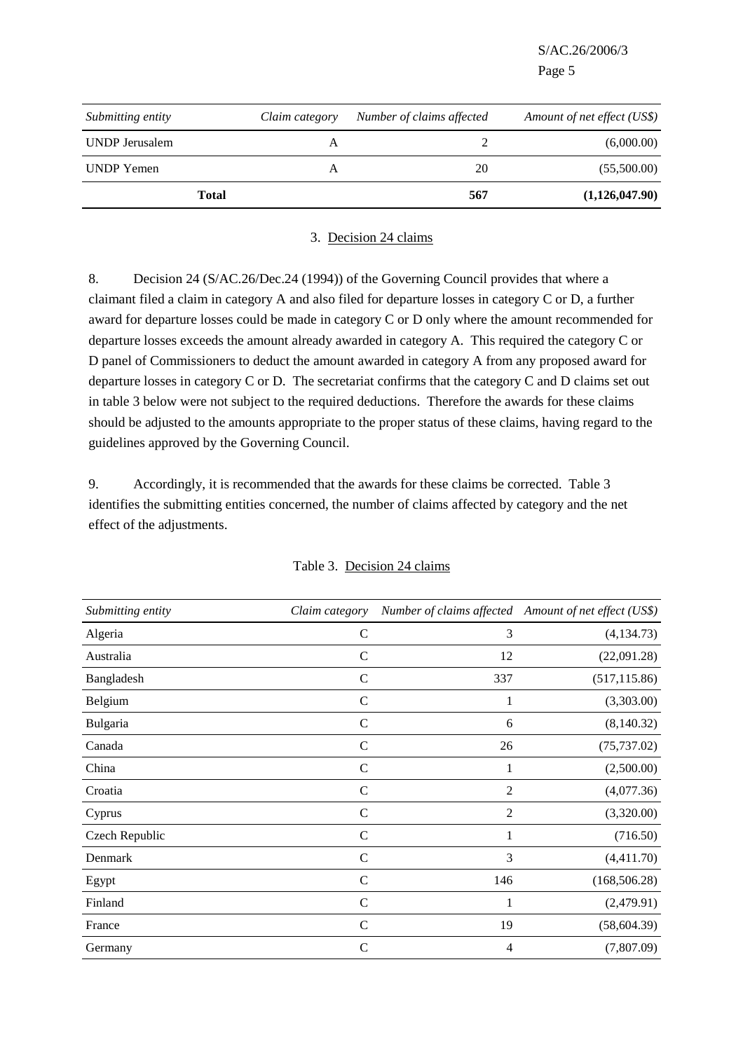S/AC.26/2006/3

| Page 5 |  |
|--------|--|
|        |  |

| Submitting entity     | Claim category | Number of claims affected | Amount of net effect (US\$) |
|-----------------------|----------------|---------------------------|-----------------------------|
| <b>UNDP</b> Jerusalem | A              |                           | (6,000.00)                  |
| UNDP Yemen            |                | 20                        | (55,500.00)                 |
|                       | <b>Total</b>   | 567                       | (1,126,047.90)              |

#### 3. Decision 24 claims

8. Decision 24 (S/AC.26/Dec.24 (1994)) of the Governing Council provides that where a claimant filed a claim in category A and also filed for departure losses in category C or D, a further award for departure losses could be made in category C or D only where the amount recommended for departure losses exceeds the amount already awarded in category A. This required the category C or D panel of Commissioners to deduct the amount awarded in category A from any proposed award for departure losses in category C or D. The secretariat confirms that the category C and D claims set out in table 3 below were not subject to the required deductions. Therefore the awards for these claims should be adjusted to the amounts appropriate to the proper status of these claims, having regard to the guidelines approved by the Governing Council.

9. Accordingly, it is recommended that the awards for these claims be corrected. Table 3 identifies the submitting entities concerned, the number of claims affected by category and the net effect of the adjustments.

| Submitting entity | Claim category |                | Number of claims affected Amount of net effect (US\$) |
|-------------------|----------------|----------------|-------------------------------------------------------|
| Algeria           | $\mathsf{C}$   | 3              | (4, 134.73)                                           |
| Australia         | $\mathsf{C}$   | 12             | (22,091.28)                                           |
| Bangladesh        | $\mathcal{C}$  | 337            | (517, 115.86)                                         |
| Belgium           | $\mathcal{C}$  |                | (3,303.00)                                            |
| Bulgaria          | $\mathsf{C}$   | 6              | (8,140.32)                                            |
| Canada            | $\mathcal{C}$  | 26             | (75, 737.02)                                          |
| China             | $\mathsf{C}$   | 1              | (2,500.00)                                            |
| Croatia           | $\mathcal{C}$  | 2              | (4,077.36)                                            |
| Cyprus            | $\mathsf{C}$   | $\overline{2}$ | (3,320.00)                                            |
| Czech Republic    | $\mathcal{C}$  | 1              | (716.50)                                              |
| Denmark           | $\mathbf C$    | 3              | (4,411.70)                                            |
| Egypt             | $\mathsf{C}$   | 146            | (168, 506.28)                                         |
| Finland           | $\mathcal{C}$  |                | (2,479.91)                                            |
| France            | $\mathcal{C}$  | 19             | (58, 604.39)                                          |
| Germany           | $\mathsf{C}$   | 4              | (7,807.09)                                            |

|  | Table 3. Decision 24 claims |
|--|-----------------------------|
|  |                             |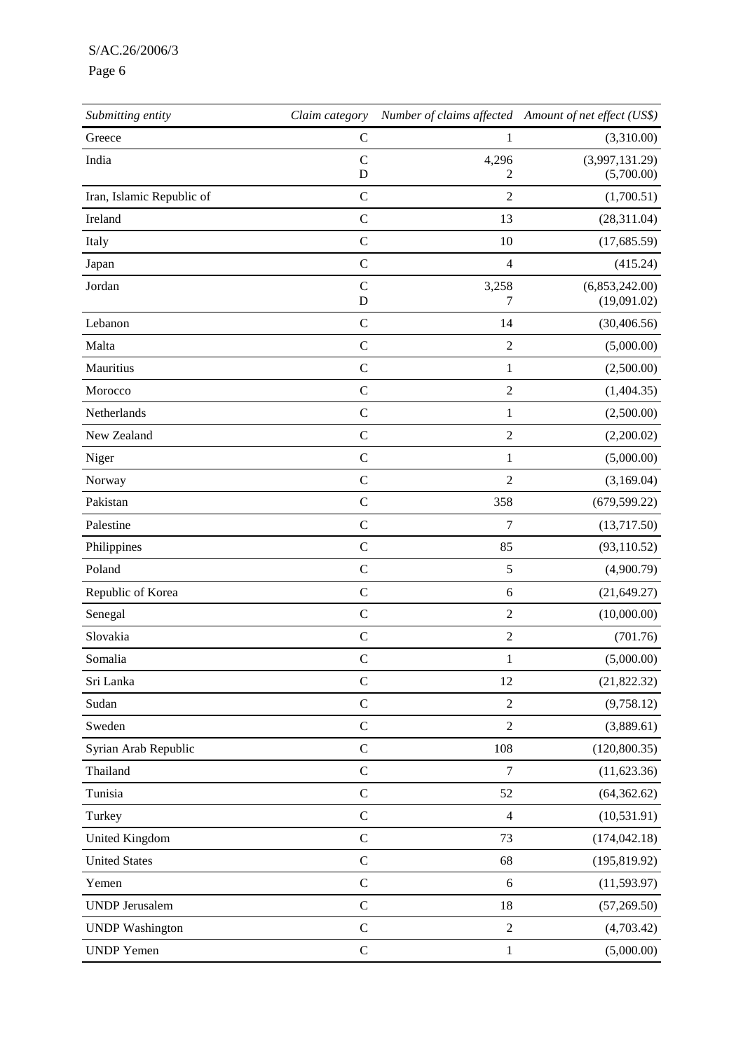## S/AC.26/2006/3

# Page 6

| Submitting entity         | Claim category               |                  | Number of claims affected Amount of net effect (US\$) |
|---------------------------|------------------------------|------------------|-------------------------------------------------------|
| Greece                    | $\mathsf{C}$                 | 1                | (3,310.00)                                            |
| India                     | $\mathcal{C}$<br>D           | 4,296<br>2       | (3,997,131.29)<br>(5,700.00)                          |
| Iran, Islamic Republic of | $\mathsf C$                  | $\overline{2}$   | (1,700.51)                                            |
| Ireland                   | $\mathbf C$                  | 13               | (28,311.04)                                           |
| Italy                     | $\mathbf C$                  | 10               | (17,685.59)                                           |
| Japan                     | $\mathbf C$                  | $\overline{4}$   | (415.24)                                              |
| Jordan                    | $\mathcal{C}$<br>$\mathbf D$ | 3,258<br>7       | (6,853,242.00)<br>(19,091.02)                         |
| Lebanon                   | $\mathbf C$                  | 14               | (30, 406.56)                                          |
| Malta                     | $\mathcal{C}$                | $\overline{2}$   | (5,000.00)                                            |
| Mauritius                 | $\mathbf C$                  | 1                | (2,500.00)                                            |
| Morocco                   | $\mathcal{C}$                | $\overline{2}$   | (1,404.35)                                            |
| Netherlands               | $\mathcal{C}$                | 1                | (2,500.00)                                            |
| New Zealand               | $\mathcal{C}$                | $\overline{2}$   | (2,200.02)                                            |
| Niger                     | $\mathcal{C}$                | 1                | (5,000.00)                                            |
| Norway                    | $\mathcal{C}$                | $\overline{2}$   | (3,169.04)                                            |
| Pakistan                  | $\mathcal{C}$                | 358              | (679, 599.22)                                         |
| Palestine                 | $\mathcal{C}$                | 7                | (13,717.50)                                           |
| Philippines               | $\mathcal{C}$                | 85               | (93, 110.52)                                          |
| Poland                    | $\mathcal{C}$                | $\mathfrak s$    | (4,900.79)                                            |
| Republic of Korea         | $\mathsf{C}$                 | $\sqrt{6}$       | (21, 649.27)                                          |
| Senegal                   | $\mathbf C$                  | $\overline{2}$   | (10,000.00)                                           |
| Slovakia                  | $\mathbf C$                  | $\overline{2}$   | (701.76)                                              |
| Somalia                   | $\mathsf{C}$                 | 1                | (5,000.00)                                            |
| Sri Lanka                 | $\mathbf C$                  | 12               | (21,822.32)                                           |
| Sudan                     | $\mathbf C$                  | $\sqrt{2}$       | (9,758.12)                                            |
| Sweden                    | $\mathsf C$                  | $\sqrt{2}$       | (3,889.61)                                            |
| Syrian Arab Republic      | $\mathbf C$                  | 108              | (120, 800.35)                                         |
| Thailand                  | $\mathsf C$                  | $\boldsymbol{7}$ | (11,623.36)                                           |
| Tunisia                   | $\mathbf C$                  | 52               | (64, 362.62)                                          |
| Turkey                    | $\mathbf C$                  | $\overline{4}$   | (10, 531.91)                                          |
| <b>United Kingdom</b>     | $\mathbf C$                  | 73               | (174, 042.18)                                         |
| <b>United States</b>      | $\mathsf{C}$                 | 68               | (195, 819.92)                                         |
| Yemen                     | $\mathbf C$                  | $\sqrt{6}$       | (11, 593.97)                                          |
| <b>UNDP</b> Jerusalem     | $\mathbf C$                  | 18               | (57,269.50)                                           |
| <b>UNDP</b> Washington    | $\mathbf C$                  | $\sqrt{2}$       | (4,703.42)                                            |
| <b>UNDP</b> Yemen         | $\mathsf C$                  | $\mathbf{1}$     | (5,000.00)                                            |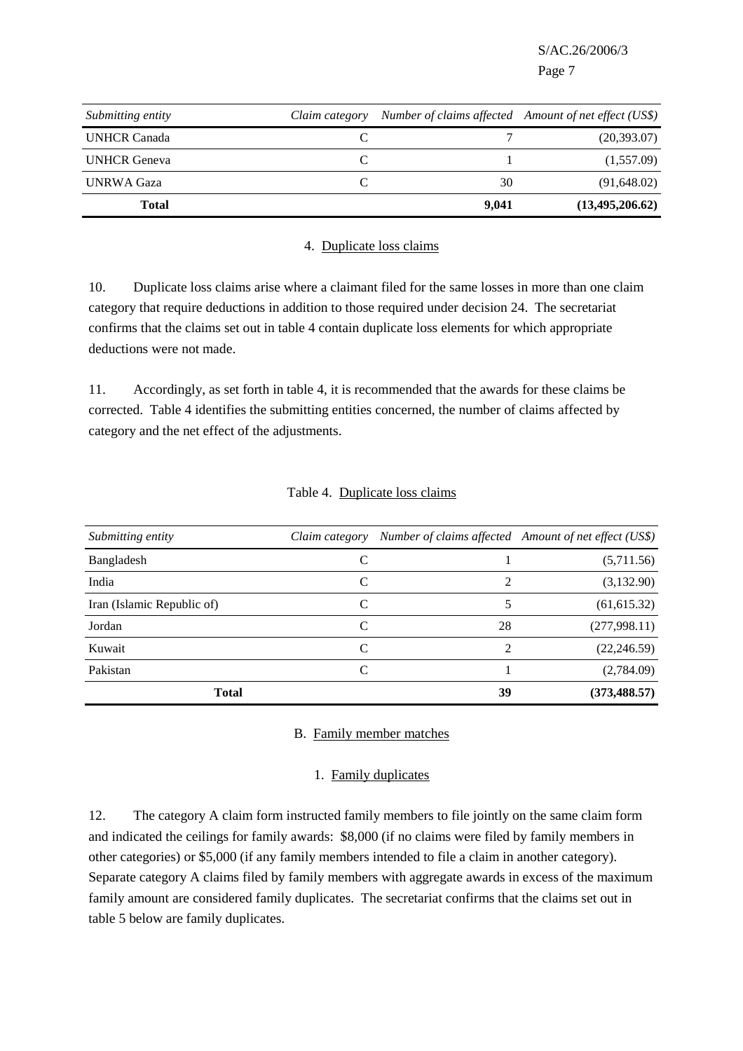| Submitting entity   | Claim category |       | Number of claims affected Amount of net effect (US\$) |
|---------------------|----------------|-------|-------------------------------------------------------|
| <b>UNHCR Canada</b> |                |       | (20, 393.07)                                          |
| <b>UNHCR</b> Geneva |                |       | (1,557.09)                                            |
| <b>UNRWA Gaza</b>   |                | 30    | (91, 648.02)                                          |
| <b>Total</b>        |                | 9.041 | (13, 495, 206, 62)                                    |

#### 4. Duplicate loss claims

10. Duplicate loss claims arise where a claimant filed for the same losses in more than one claim category that require deductions in addition to those required under decision 24. The secretariat confirms that the claims set out in table 4 contain duplicate loss elements for which appropriate deductions were not made.

11. Accordingly, as set forth in table 4, it is recommended that the awards for these claims be corrected. Table 4 identifies the submitting entities concerned, the number of claims affected by category and the net effect of the adjustments.

| Submitting entity          | Claim category |                             | Number of claims affected Amount of net effect (US\$) |
|----------------------------|----------------|-----------------------------|-------------------------------------------------------|
| Bangladesh                 | C              |                             | (5,711.56)                                            |
| India                      | C              | $\mathcal{D}_{\mathcal{A}}$ | (3,132.90)                                            |
| Iran (Islamic Republic of) | C              |                             | (61, 615.32)                                          |
| Jordan                     | C              | 28                          | (277,998.11)                                          |
| Kuwait                     | C              | $\mathcal{D}_{\mathcal{L}}$ | (22, 246.59)                                          |
| Pakistan                   | C              |                             | (2,784.09)                                            |
| <b>Total</b>               |                | 39                          | (373, 488.57)                                         |

#### Table 4. Duplicate loss claims

#### B. Family member matches

#### 1. Family duplicates

12. The category A claim form instructed family members to file jointly on the same claim form and indicated the ceilings for family awards: \$8,000 (if no claims were filed by family members in other categories) or \$5,000 (if any family members intended to file a claim in another category). Separate category A claims filed by family members with aggregate awards in excess of the maximum family amount are considered family duplicates. The secretariat confirms that the claims set out in table 5 below are family duplicates.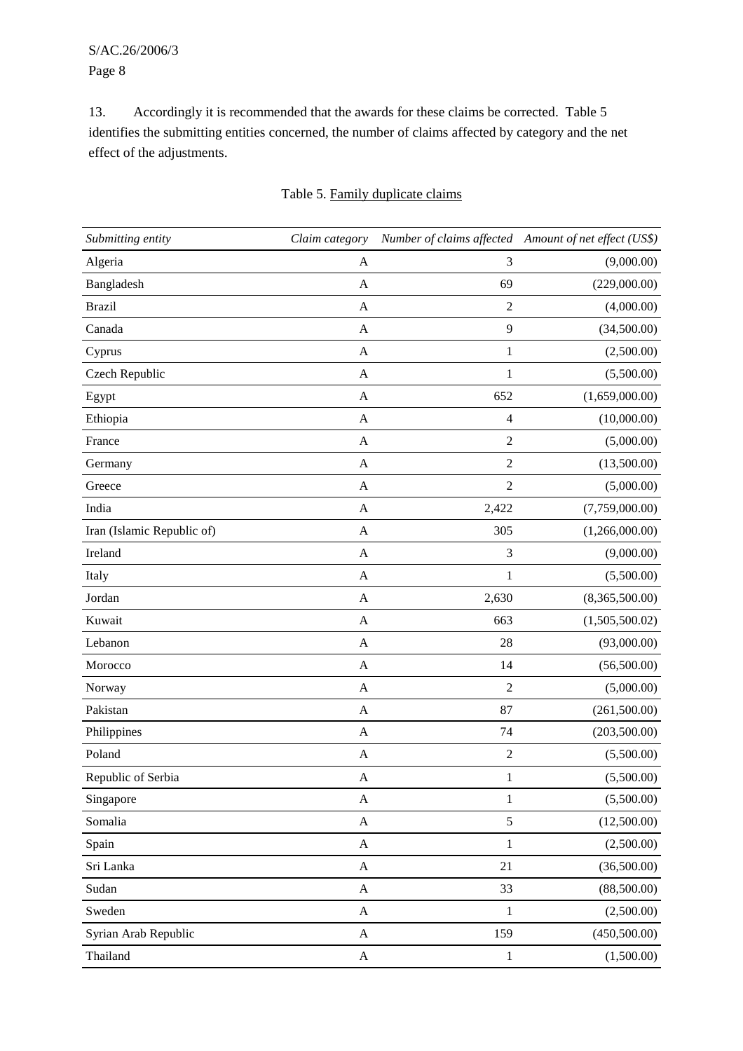13. Accordingly it is recommended that the awards for these claims be corrected. Table 5 identifies the submitting entities concerned, the number of claims affected by category and the net effect of the adjustments.

| Submitting entity          | Claim category            |                | Number of claims affected Amount of net effect (US\$) |
|----------------------------|---------------------------|----------------|-------------------------------------------------------|
| Algeria                    | A                         | 3              | (9,000.00)                                            |
| Bangladesh                 | A                         | 69             | (229,000.00)                                          |
| <b>Brazil</b>              | A                         | $\overline{2}$ | (4,000.00)                                            |
| Canada                     | A                         | 9              | (34,500.00)                                           |
| Cyprus                     | $\mathbf A$               | $\mathbf{1}$   | (2,500.00)                                            |
| Czech Republic             | A                         | $\mathbf{1}$   | (5,500.00)                                            |
| Egypt                      | $\mathbf A$               | 652            | (1,659,000.00)                                        |
| Ethiopia                   | A                         | 4              | (10,000.00)                                           |
| France                     | $\mathbf{A}$              | $\overline{2}$ | (5,000.00)                                            |
| Germany                    | A                         | $\sqrt{2}$     | (13,500.00)                                           |
| Greece                     | $\mathbf{A}$              | $\overline{2}$ | (5,000.00)                                            |
| India                      | $\mathbf{A}$              | 2,422          | (7,759,000.00)                                        |
| Iran (Islamic Republic of) | $\mathbf{A}$              | 305            | (1,266,000.00)                                        |
| Ireland                    | $\mathbf{A}$              | 3              | (9,000.00)                                            |
| Italy                      | $\mathbf A$               | $\,1$          | (5,500.00)                                            |
| Jordan                     | $\mathbf A$               | 2,630          | (8,365,500.00)                                        |
| Kuwait                     | $\boldsymbol{A}$          | 663            | (1,505,500.02)                                        |
| Lebanon                    | A                         | 28             | (93,000.00)                                           |
| Morocco                    | $\mathbf A$               | 14             | (56,500.00)                                           |
| Norway                     | A                         | $\overline{2}$ | (5,000.00)                                            |
| Pakistan                   | $\mathbf A$               | 87             | (261,500.00)                                          |
| Philippines                | A                         | 74             | (203,500.00)                                          |
| Poland                     | A                         | $\sqrt{2}$     | (5,500.00)                                            |
| Republic of Serbia         | A                         | $\mathbf{1}$   | (5,500.00)                                            |
| Singapore                  | $\boldsymbol{\rm{A}}$     | $\mathbf{1}$   | (5,500.00)                                            |
| Somalia                    | $\boldsymbol{\mathsf{A}}$ | 5              | (12,500.00)                                           |
| Spain                      | $\mathbf{A}$              | $\,1$          | (2,500.00)                                            |
| Sri Lanka                  | $\mathbf{A}$              | 21             | (36,500.00)                                           |
| Sudan                      | $\mathbf{A}$              | 33             | (88,500.00)                                           |
| Sweden                     | $\boldsymbol{\mathsf{A}}$ | $\,1$          | (2,500.00)                                            |
| Syrian Arab Republic       | $\mathbf{A}$              | 159            | (450,500.00)                                          |
| Thailand                   | $\boldsymbol{\mathsf{A}}$ | $\,1$          | (1,500.00)                                            |

# Table 5. Family duplicate claims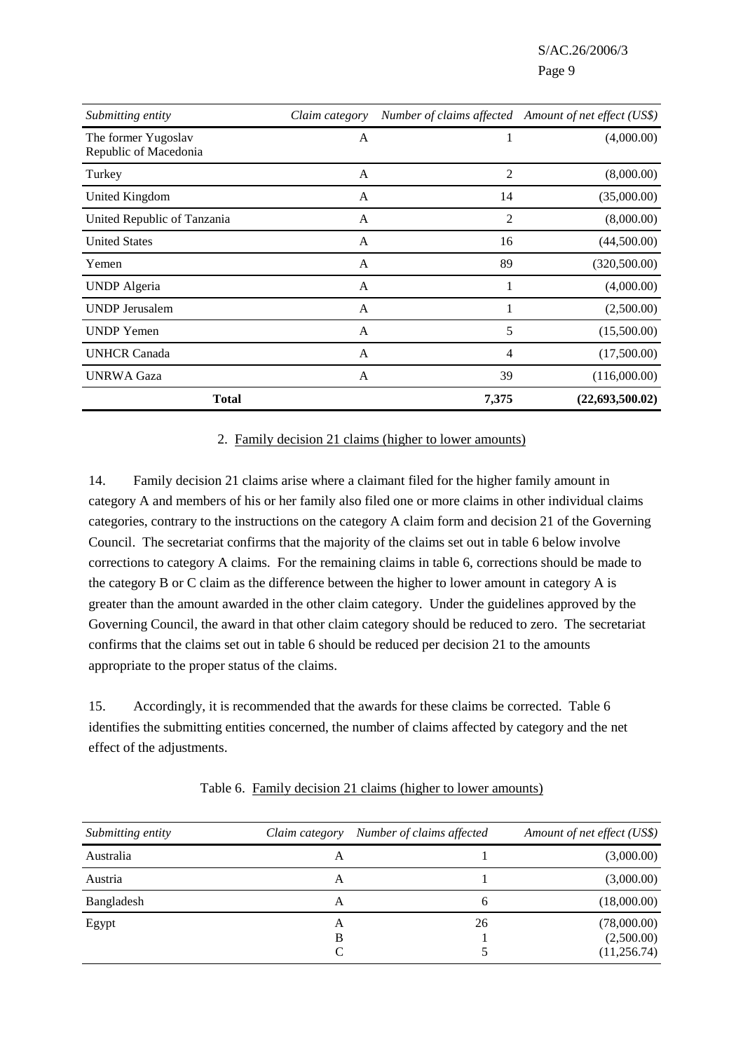| Submitting entity                            | Claim category |       | Number of claims affected Amount of net effect (US\$) |
|----------------------------------------------|----------------|-------|-------------------------------------------------------|
| The former Yugoslav<br>Republic of Macedonia | $\mathsf{A}$   |       | (4,000.00)                                            |
| Turkey                                       | A              | 2     | (8,000.00)                                            |
| United Kingdom                               | A              | 14    | (35,000.00)                                           |
| United Republic of Tanzania                  | A              | 2     | (8,000.00)                                            |
| <b>United States</b>                         | $\mathbf{A}$   | 16    | (44,500.00)                                           |
| Yemen                                        | $\mathsf{A}$   | 89    | (320,500.00)                                          |
| <b>UNDP</b> Algeria                          | A              |       | (4,000.00)                                            |
| <b>UNDP</b> Jerusalem                        | A              |       | (2,500.00)                                            |
| <b>UNDP</b> Yemen                            | $\mathbf{A}$   | 5     | (15,500.00)                                           |
| <b>UNHCR Canada</b>                          | A              | 4     | (17,500.00)                                           |
| <b>UNRWA Gaza</b>                            | A              | 39    | (116,000.00)                                          |
| <b>Total</b>                                 |                | 7,375 | (22, 693, 500.02)                                     |

#### 2. Family decision 21 claims (higher to lower amounts)

14. Family decision 21 claims arise where a claimant filed for the higher family amount in category A and members of his or her family also filed one or more claims in other individual claims categories, contrary to the instructions on the category A claim form and decision 21 of the Governing Council. The secretariat confirms that the majority of the claims set out in table 6 below involve corrections to category A claims. For the remaining claims in table 6, corrections should be made to the category B or C claim as the difference between the higher to lower amount in category A is greater than the amount awarded in the other claim category. Under the guidelines approved by the Governing Council, the award in that other claim category should be reduced to zero. The secretariat confirms that the claims set out in table 6 should be reduced per decision 21 to the amounts appropriate to the proper status of the claims.

15. Accordingly, it is recommended that the awards for these claims be corrected. Table 6 identifies the submitting entities concerned, the number of claims affected by category and the net effect of the adjustments.

| Submitting entity | Claim category | Number of claims affected | Amount of net effect (US\$)               |
|-------------------|----------------|---------------------------|-------------------------------------------|
| Australia         | А              |                           | (3,000.00)                                |
| Austria           | А              |                           | (3,000.00)                                |
| Bangladesh        | А              | 6                         | (18,000.00)                               |
| Egypt             | А<br>В         | 26                        | (78,000.00)<br>(2,500.00)<br>(11, 256.74) |

Table 6. Family decision 21 claims (higher to lower amounts)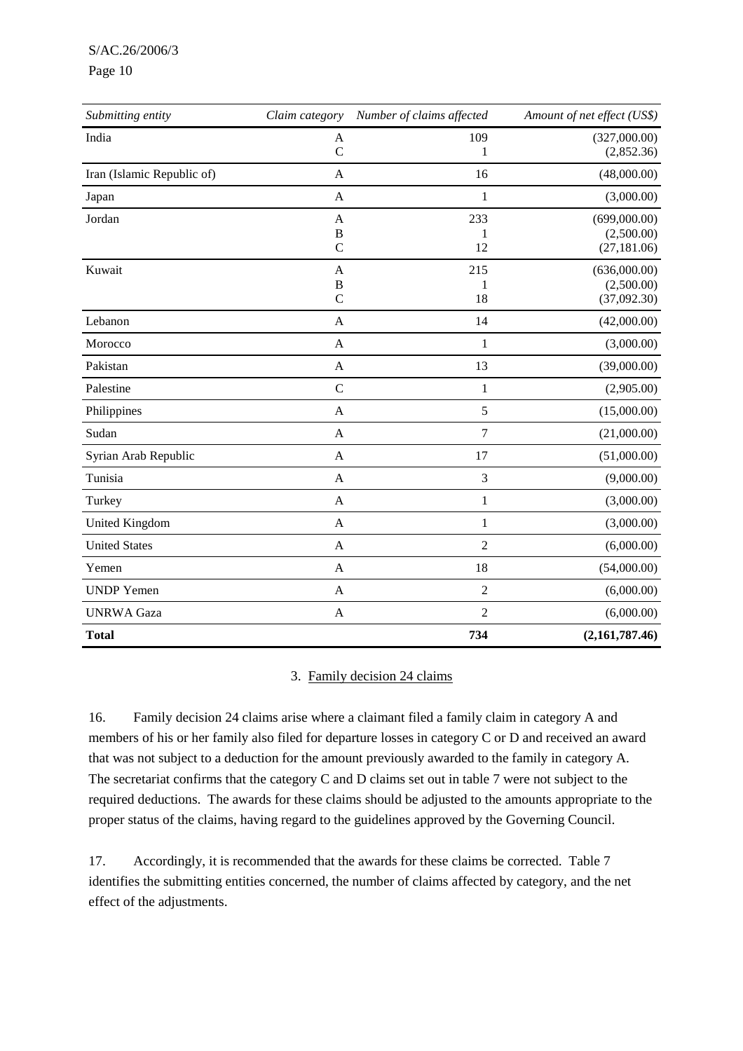S/AC.26/2006/3

#### Page 10

| Submitting entity          | Claim category           | Number of claims affected | Amount of net effect (US\$)               |
|----------------------------|--------------------------|---------------------------|-------------------------------------------|
| India                      | A<br>$\overline{C}$      | 109<br>1                  | (327,000.00)<br>(2,852.36)                |
| Iran (Islamic Republic of) | A                        | 16                        | (48,000.00)                               |
| Japan                      | A                        | 1                         | (3,000.00)                                |
| Jordan                     | A<br>B                   | 233<br>1                  | (699,000.00)<br>(2,500.00)                |
|                            | $\overline{C}$           | 12                        | (27, 181.06)                              |
| Kuwait                     | A<br>B<br>$\overline{C}$ | 215<br>1<br>18            | (636,000.00)<br>(2,500.00)<br>(37,092.30) |
| Lebanon                    | A                        | 14                        | (42,000.00)                               |
| Morocco                    | A                        | 1                         | (3,000.00)                                |
| Pakistan                   | $\mathbf{A}$             | 13                        | (39,000.00)                               |
| Palestine                  | $\mathcal{C}$            | $\mathbf{1}$              | (2,905.00)                                |
| Philippines                | A                        | 5                         | (15,000.00)                               |
| Sudan                      | A                        | $\overline{7}$            | (21,000.00)                               |
| Syrian Arab Republic       | A                        | 17                        | (51,000.00)                               |
| Tunisia                    | $\mathbf{A}$             | 3                         | (9,000.00)                                |
| Turkey                     | $\mathbf{A}$             | $\mathbf{1}$              | (3,000.00)                                |
| United Kingdom             | A                        | $\mathbf{1}$              | (3,000.00)                                |
| <b>United States</b>       | A                        | $\overline{2}$            | (6,000.00)                                |
| Yemen                      | A                        | 18                        | (54,000.00)                               |
| <b>UNDP</b> Yemen          | A                        | $\overline{2}$            | (6,000.00)                                |
| <b>UNRWA</b> Gaza          | $\mathbf{A}$             | $\overline{2}$            | (6,000.00)                                |
| <b>Total</b>               |                          | 734                       | (2,161,787.46)                            |

## 3. Family decision 24 claims

16. Family decision 24 claims arise where a claimant filed a family claim in category A and members of his or her family also filed for departure losses in category C or D and received an award that was not subject to a deduction for the amount previously awarded to the family in category A. The secretariat confirms that the category C and D claims set out in table 7 were not subject to the required deductions. The awards for these claims should be adjusted to the amounts appropriate to the proper status of the claims, having regard to the guidelines approved by the Governing Council.

17. Accordingly, it is recommended that the awards for these claims be corrected. Table 7 identifies the submitting entities concerned, the number of claims affected by category, and the net effect of the adjustments.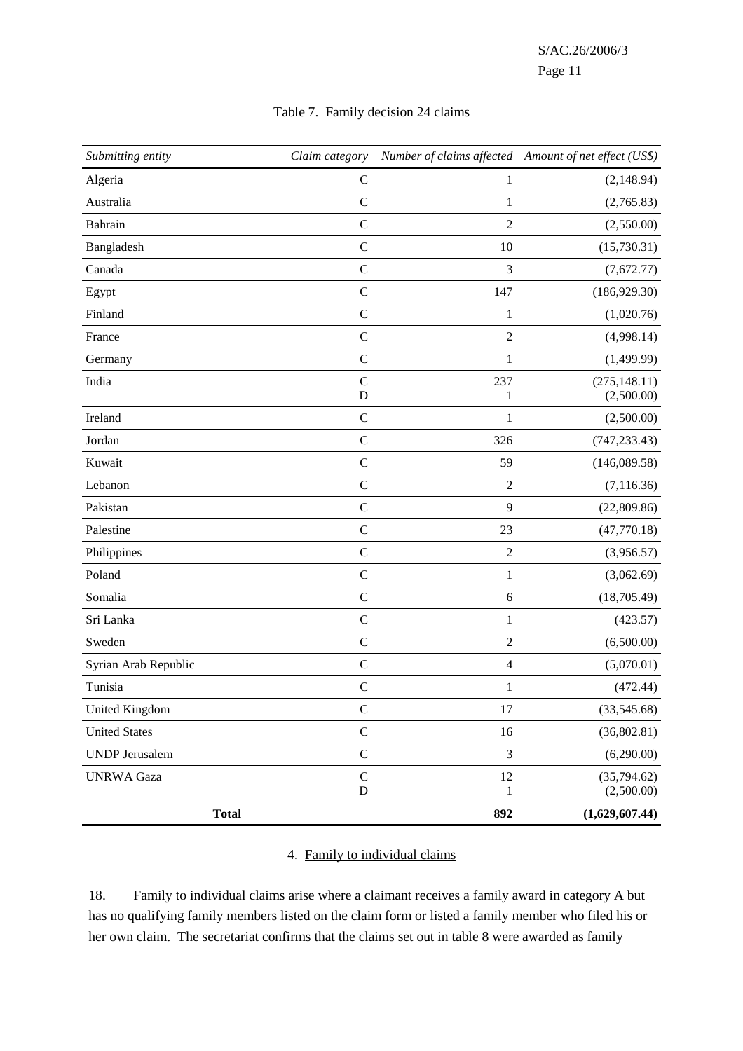| Submitting entity     | Claim category |                | Number of claims affected Amount of net effect (US\$) |
|-----------------------|----------------|----------------|-------------------------------------------------------|
| Algeria               | $\mathbf C$    | $\mathbf{1}$   | (2,148.94)                                            |
| Australia             | $\mathcal{C}$  | $\mathbf{1}$   | (2,765.83)                                            |
| Bahrain               | $\mathbf C$    | $\overline{2}$ | (2,550.00)                                            |
| Bangladesh            | $\mathbf C$    | 10             | (15,730.31)                                           |
| Canada                | $\mathbf C$    | 3              | (7,672.77)                                            |
| Egypt                 | $\mathbf C$    | 147            | (186, 929.30)                                         |
| Finland               | $\mathbf C$    | $\mathbf{1}$   | (1,020.76)                                            |
| France                | $\mathbf C$    | $\sqrt{2}$     | (4,998.14)                                            |
| Germany               | $\mathsf{C}$   | $\,1$          | (1,499.99)                                            |
| India                 | $\mathbf C$    | 237            | (275, 148.11)                                         |
|                       | D              | $\mathbf{1}$   | (2,500.00)                                            |
| Ireland               | $\mathbf C$    | $\mathbf{1}$   | (2,500.00)                                            |
| Jordan                | $\mathbf C$    | 326            | (747, 233.43)                                         |
| Kuwait                | $\mathsf{C}$   | 59             | (146,089.58)                                          |
| Lebanon               | $\mathbf C$    | $\sqrt{2}$     | (7, 116.36)                                           |
| Pakistan              | $\mathsf{C}$   | 9              | (22,809.86)                                           |
| Palestine             | $\mathbf C$    | 23             | (47,770.18)                                           |
| Philippines           | $\mathbf C$    | $\sqrt{2}$     | (3,956.57)                                            |
| Poland                | $\mathbf C$    | $\,1$          | (3,062.69)                                            |
| Somalia               | $\mathbf C$    | $\sqrt{6}$     | (18,705.49)                                           |
| Sri Lanka             | $\mathbf C$    | $\,1$          | (423.57)                                              |
| Sweden                | $\mathbf C$    | $\overline{2}$ | (6,500.00)                                            |
| Syrian Arab Republic  | $\mathbf C$    | $\overline{4}$ | (5,070.01)                                            |
| Tunisia               | $\mathbf C$    | 1              | (472.44)                                              |
| <b>United Kingdom</b> | $\mathbf C$    | 17             | (33,545.68)                                           |
| <b>United States</b>  | $\mathbf C$    | 16             | (36,802.81)                                           |
| <b>UNDP</b> Jerusalem | $\mathbf C$    | $\mathfrak{Z}$ | (6,290.00)                                            |
| <b>UNRWA Gaza</b>     | $\mathbf C$    | 12             | (35,794.62)                                           |
|                       | ${\bf D}$      | 1              | (2,500.00)                                            |
| <b>Total</b>          |                | 892            | (1,629,607.44)                                        |

# Table 7. Family decision 24 claims

# 4. Family to individual claims

18. Family to individual claims arise where a claimant receives a family award in category A but has no qualifying family members listed on the claim form or listed a family member who filed his or her own claim. The secretariat confirms that the claims set out in table 8 were awarded as family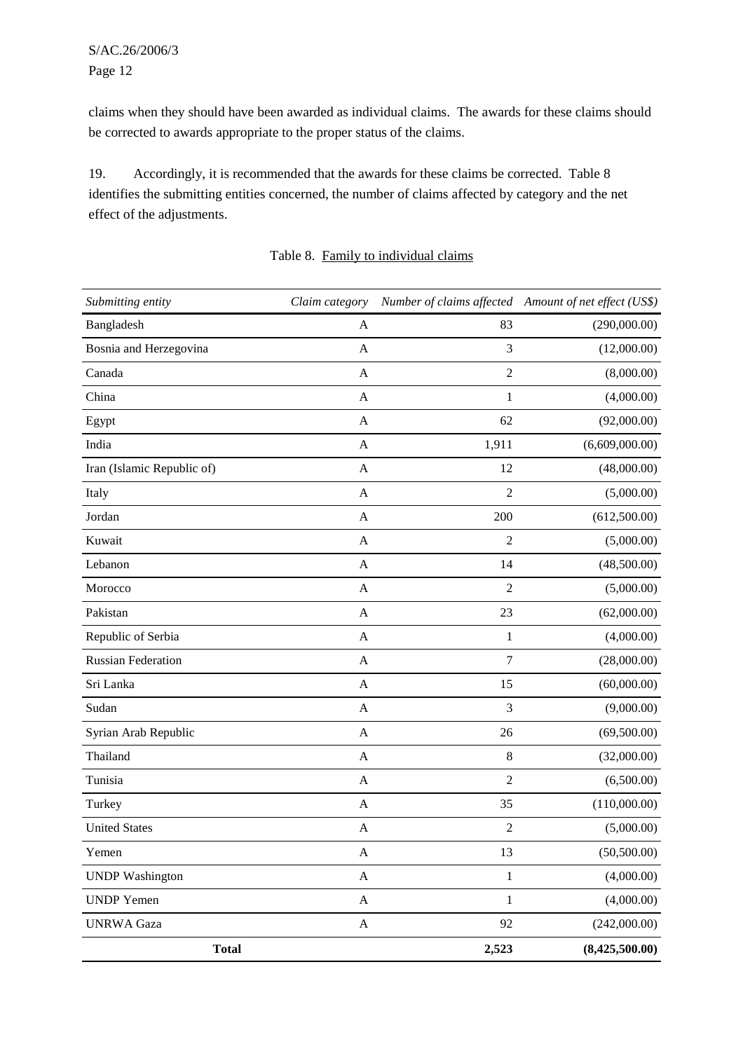claims when they should have been awarded as individual claims. The awards for these claims should be corrected to awards appropriate to the proper status of the claims.

19. Accordingly, it is recommended that the awards for these claims be corrected. Table 8 identifies the submitting entities concerned, the number of claims affected by category and the net effect of the adjustments.

| Submitting entity          | Claim category            |                | Number of claims affected Amount of net effect (US\$) |
|----------------------------|---------------------------|----------------|-------------------------------------------------------|
| Bangladesh                 | A                         | 83             | (290,000.00)                                          |
| Bosnia and Herzegovina     | A                         | 3              | (12,000.00)                                           |
| Canada                     | A                         | $\overline{2}$ | (8,000.00)                                            |
| China                      | A                         | 1              | (4,000.00)                                            |
| Egypt                      | A                         | 62             | (92,000.00)                                           |
| India                      | A                         | 1,911          | (6,609,000.00)                                        |
| Iran (Islamic Republic of) | A                         | 12             | (48,000.00)                                           |
| Italy                      | A                         | $\overline{2}$ | (5,000.00)                                            |
| Jordan                     | $\mathbf{A}$              | 200            | (612,500.00)                                          |
| Kuwait                     | A                         | $\overline{2}$ | (5,000.00)                                            |
| Lebanon                    | $\mathbf{A}$              | 14             | (48,500.00)                                           |
| Morocco                    | $\mathbf{A}$              | $\overline{2}$ | (5,000.00)                                            |
| Pakistan                   | A                         | 23             | (62,000.00)                                           |
| Republic of Serbia         | A                         | $\mathbf{1}$   | (4,000.00)                                            |
| <b>Russian Federation</b>  | $\mathbf{A}$              | $\overline{7}$ | (28,000.00)                                           |
| Sri Lanka                  | A                         | 15             | (60,000.00)                                           |
| Sudan                      | $\mathbf{A}$              | 3              | (9,000.00)                                            |
| Syrian Arab Republic       | A                         | 26             | (69,500.00)                                           |
| Thailand                   | $\mathbf{A}$              | $\,8\,$        | (32,000.00)                                           |
| Tunisia                    | A                         | $\overline{2}$ | (6,500.00)                                            |
| Turkey                     | A                         | 35             | (110,000.00)                                          |
| <b>United States</b>       | $\mathbf{A}$              | $\overline{2}$ | (5,000.00)                                            |
| Yemen                      | A                         | 13             | (50, 500.00)                                          |
| <b>UNDP</b> Washington     | $\mathbf{A}$              | $\,1$          | (4,000.00)                                            |
| <b>UNDP</b> Yemen          | $\boldsymbol{\mathsf{A}}$ | $\mathbf{1}$   | (4,000.00)                                            |
| <b>UNRWA</b> Gaza          | $\boldsymbol{A}$          | 92             | (242,000.00)                                          |
| <b>Total</b>               |                           | 2,523          | (8,425,500.00)                                        |

# Table 8. Family to individual claims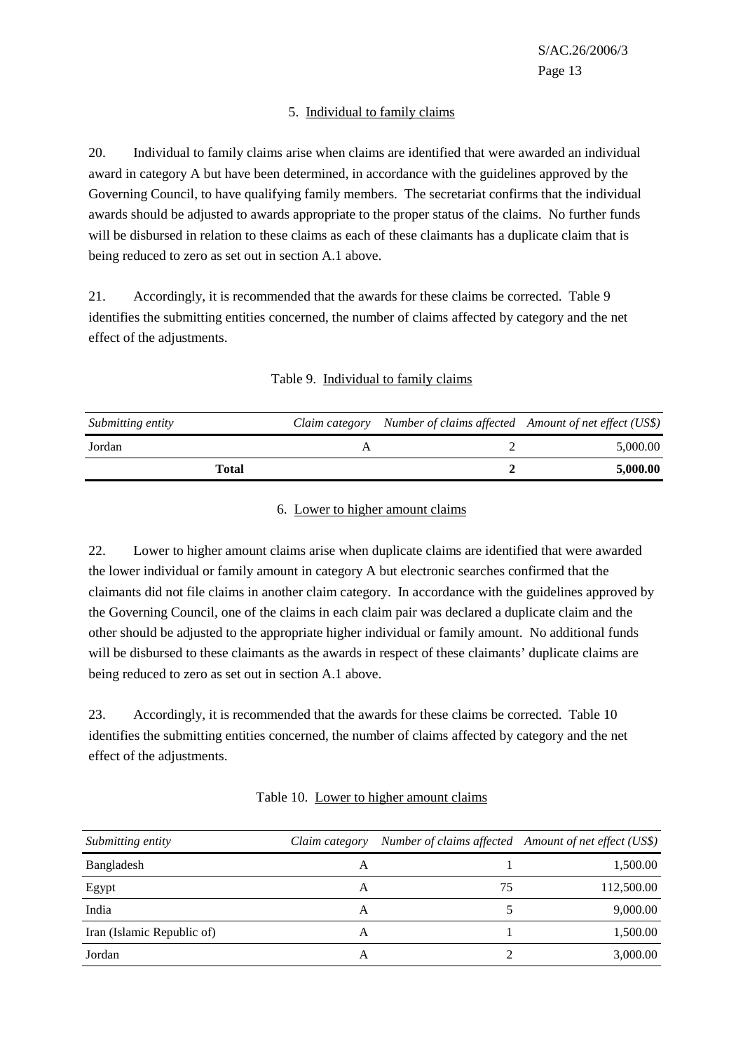# 5. Individual to family claims

20. Individual to family claims arise when claims are identified that were awarded an individual award in category A but have been determined, in accordance with the guidelines approved by the Governing Council, to have qualifying family members. The secretariat confirms that the individual awards should be adjusted to awards appropriate to the proper status of the claims. No further funds will be disbursed in relation to these claims as each of these claimants has a duplicate claim that is being reduced to zero as set out in section A.1 above.

21. Accordingly, it is recommended that the awards for these claims be corrected. Table 9 identifies the submitting entities concerned, the number of claims affected by category and the net effect of the adjustments.

| Submitting entity | Claim category Number of claims affected Amount of net effect (US\$) |          |
|-------------------|----------------------------------------------------------------------|----------|
| Jordan            |                                                                      | 5,000.00 |
| Total             |                                                                      | 5,000.00 |

## Table 9. Individual to family claims

# 6. Lower to higher amount claims

22. Lower to higher amount claims arise when duplicate claims are identified that were awarded the lower individual or family amount in category A but electronic searches confirmed that the claimants did not file claims in another claim category. In accordance with the guidelines approved by the Governing Council, one of the claims in each claim pair was declared a duplicate claim and the other should be adjusted to the appropriate higher individual or family amount. No additional funds will be disbursed to these claimants as the awards in respect of these claimants' duplicate claims are being reduced to zero as set out in section A.1 above.

23. Accordingly, it is recommended that the awards for these claims be corrected. Table 10 identifies the submitting entities concerned, the number of claims affected by category and the net effect of the adjustments.

| Submitting entity          | Claim category |    | Number of claims affected Amount of net effect (US\$) |
|----------------------------|----------------|----|-------------------------------------------------------|
| Bangladesh                 | A              |    | 1,500.00                                              |
| Egypt                      | A              | 75 | 112,500.00                                            |
| India                      | A              |    | 9,000.00                                              |
| Iran (Islamic Republic of) | A              |    | 1,500.00                                              |
| Jordan                     | А              |    | 3,000.00                                              |

## Table 10. Lower to higher amount claims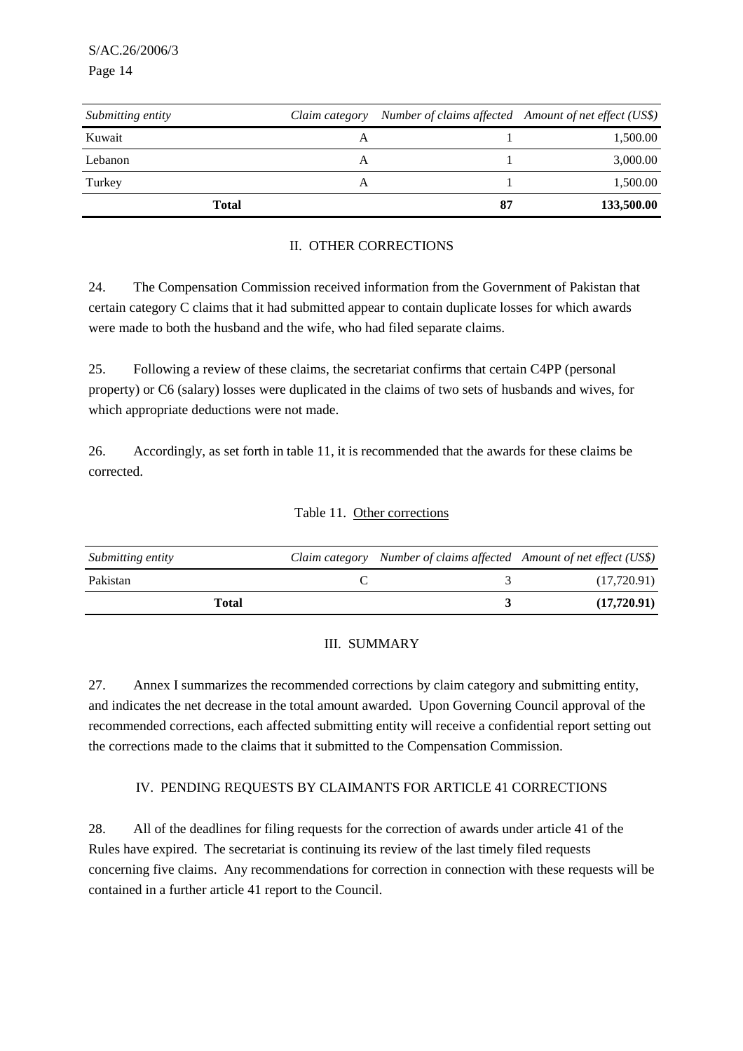| Submitting entity | Claim category | Number of claims affected Amount of net effect (US\$) |            |
|-------------------|----------------|-------------------------------------------------------|------------|
| Kuwait            | А              |                                                       | 1,500.00   |
| Lebanon           | A              |                                                       | 3,000.00   |
| Turkey            | А              |                                                       | 1,500.00   |
| <b>Total</b>      |                | 87                                                    | 133,500.00 |

# II. OTHER CORRECTIONS

24. The Compensation Commission received information from the Government of Pakistan that certain category C claims that it had submitted appear to contain duplicate losses for which awards were made to both the husband and the wife, who had filed separate claims.

25. Following a review of these claims, the secretariat confirms that certain C4PP (personal property) or C6 (salary) losses were duplicated in the claims of two sets of husbands and wives, for which appropriate deductions were not made.

26. Accordingly, as set forth in table 11, it is recommended that the awards for these claims be corrected.

# Table 11. Other corrections

| Submitting entity | Claim category Number of claims affected Amount of net effect (US\$) |             |
|-------------------|----------------------------------------------------------------------|-------------|
| Pakistan          |                                                                      | (17,720.91) |
| Total             |                                                                      | (17,720.91) |

## III. SUMMARY

27. Annex I summarizes the recommended corrections by claim category and submitting entity, and indicates the net decrease in the total amount awarded. Upon Governing Council approval of the recommended corrections, each affected submitting entity will receive a confidential report setting out the corrections made to the claims that it submitted to the Compensation Commission.

## IV. PENDING REQUESTS BY CLAIMANTS FOR ARTICLE 41 CORRECTIONS

28. All of the deadlines for filing requests for the correction of awards under article 41 of the Rules have expired. The secretariat is continuing its review of the last timely filed requests concerning five claims. Any recommendations for correction in connection with these requests will be contained in a further article 41 report to the Council.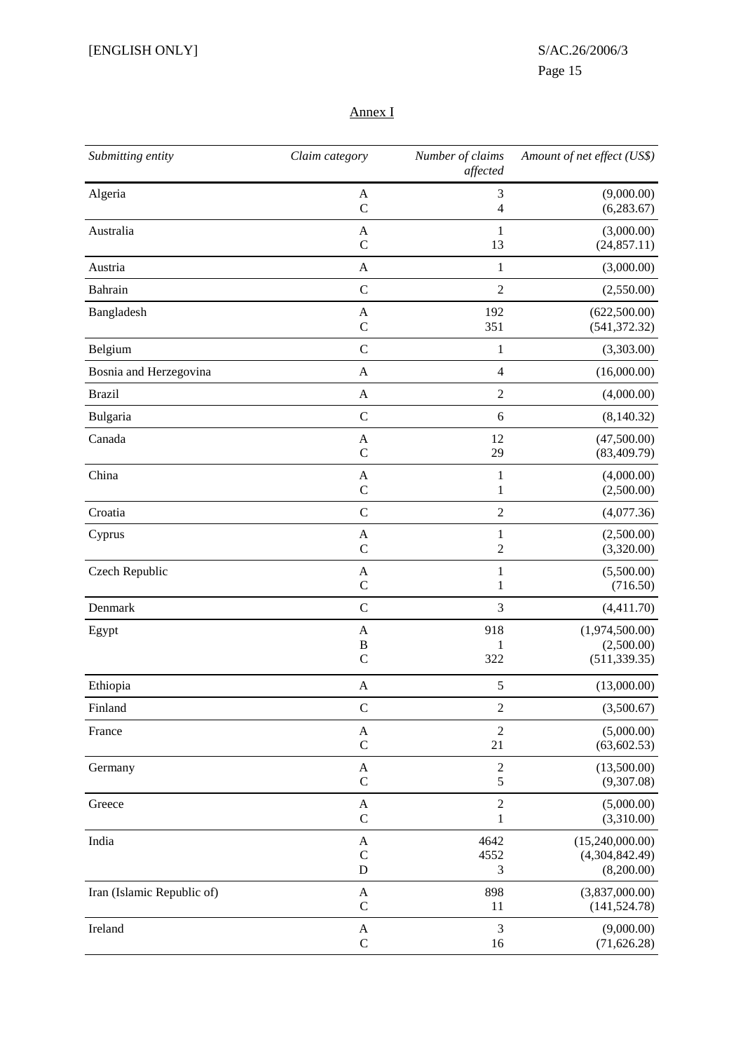# Annex I

| Submitting entity          | Claim category | Number of claims<br>affected | Amount of net effect (US\$) |
|----------------------------|----------------|------------------------------|-----------------------------|
| Algeria                    | $\mathbf{A}$   | 3                            | (9,000.00)                  |
|                            | $\mathcal{C}$  | 4                            | (6,283.67)                  |
| Australia                  | A              | $\mathbf{1}$                 | (3,000.00)                  |
|                            | $\mathbf C$    | 13                           | (24, 857.11)                |
| Austria                    | $\mathbf A$    | $\mathbf{1}$                 | (3,000.00)                  |
| Bahrain                    | $\mathbf C$    | $\overline{2}$               | (2,550.00)                  |
| Bangladesh                 | A              | 192                          | (622,500.00)                |
|                            | $\mathbf C$    | 351                          | (541, 372.32)               |
| Belgium                    | $\mathbf C$    | $\mathbf{1}$                 | (3,303.00)                  |
| Bosnia and Herzegovina     | $\mathbf{A}$   | $\overline{\mathcal{L}}$     | (16,000.00)                 |
| <b>Brazil</b>              | $\mathbf{A}$   | $\overline{2}$               | (4,000.00)                  |
| Bulgaria                   | $\mathsf{C}$   | 6                            | (8,140.32)                  |
| Canada                     | A              | 12                           | (47,500.00)                 |
|                            | $\mathsf{C}$   | 29                           | (83, 409.79)                |
| China                      | $\mathbf A$    | $\mathbf{1}$                 | (4,000.00)                  |
|                            | $\mathbf C$    | $\mathbf{1}$                 | (2,500.00)                  |
| Croatia                    | $\mathbf C$    | $\overline{2}$               | (4,077.36)                  |
| Cyprus                     | A              | $\mathbf{1}$                 | (2,500.00)                  |
|                            | $\mathcal{C}$  | 2                            | (3,320.00)                  |
| Czech Republic             | A              | $\mathbf{1}$                 | (5,500.00)                  |
|                            | $\mathbf C$    | 1                            | (716.50)                    |
| Denmark                    | $\mathbf C$    | 3                            | (4,411.70)                  |
| Egypt                      | A              | 918                          | (1,974,500.00)              |
|                            | B              | 1                            | (2,500.00)                  |
|                            | $\mathbf C$    | 322                          | (511, 339.35)               |
| Ethiopia                   | $\mathbf{A}$   | 5                            | (13,000.00)                 |
| Finland                    | $\mathbf C$    | $\sqrt{2}$                   | (3,500.67)                  |
| France                     | $\mathbf A$    | $\overline{2}$               | (5,000.00)                  |
|                            | $\mathbf C$    | 21                           | (63, 602.53)                |
| Germany                    | $\mathbf A$    | $\overline{c}$               | (13,500.00)                 |
|                            | $\mathbf C$    | 5                            | (9,307.08)                  |
| Greece                     | A              | $\boldsymbol{2}$             | (5,000.00)                  |
|                            | $\mathbf C$    | $\mathbf{1}$                 | (3,310.00)                  |
| India                      | A              | 4642                         | (15,240,000.00)             |
|                            | $\mathbf C$    | 4552                         | (4,304,842.49)              |
|                            | $\mathbf D$    | 3                            | (8,200.00)                  |
| Iran (Islamic Republic of) | A              | 898                          | (3,837,000.00)              |
|                            | $\mathsf C$    | 11                           | (141, 524.78)               |
| Ireland                    | A              | 3                            | (9,000.00)                  |
|                            | $\mathsf C$    | 16                           | (71, 626.28)                |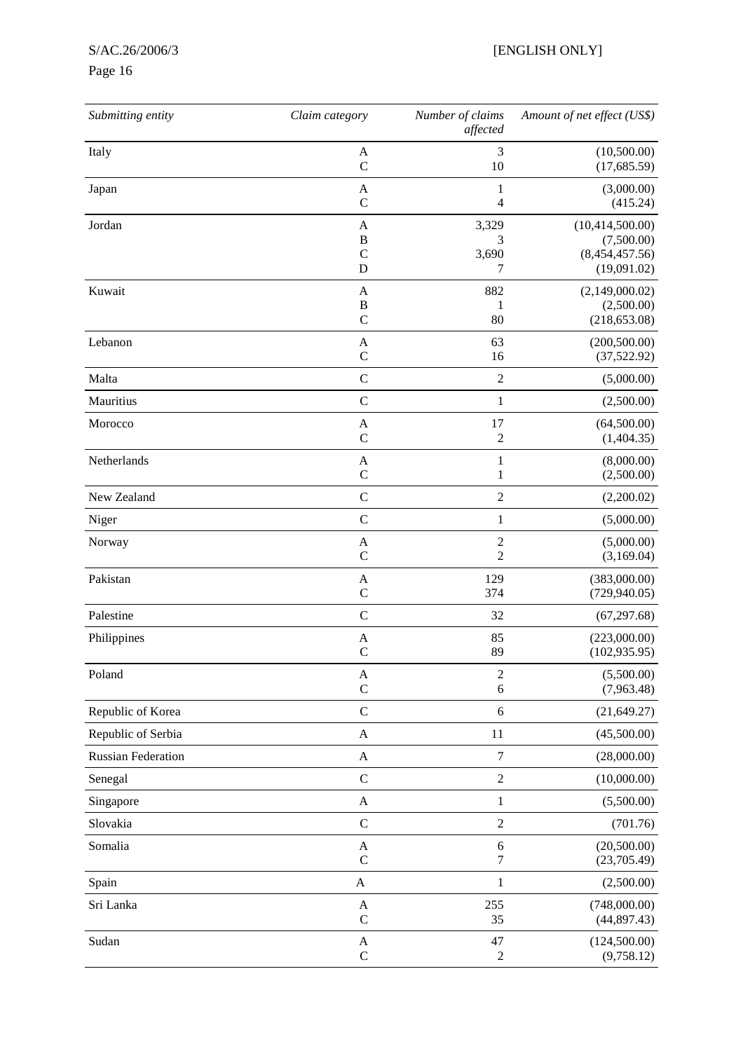# Page 16

| Submitting entity         | Claim category            | Number of claims<br>affected | Amount of net effect (US\$) |
|---------------------------|---------------------------|------------------------------|-----------------------------|
| Italy                     | A                         | 3                            | (10,500.00)                 |
|                           | $\mathcal{C}$             | 10                           | (17, 685.59)                |
| Japan                     | A                         | 1                            | (3,000.00)                  |
|                           | $\mathcal{C}$             | 4                            | (415.24)                    |
| Jordan                    | A                         | 3,329                        | (10, 414, 500.00)           |
|                           | B                         | 3                            | (7,500.00)                  |
|                           | $\mathsf{C}$              | 3,690                        | (8,454,457.56)              |
|                           | D                         | 7                            | (19,091.02)                 |
| Kuwait                    | $\mathbf{A}$              | 882                          | (2,149,000.02)              |
|                           | $\bf{B}$                  | 1                            | (2,500.00)                  |
|                           | $\mathbf C$               | 80                           | (218, 653.08)               |
| Lebanon                   | A                         | 63                           | (200, 500.00)               |
|                           | $\mathbf C$               | 16                           | (37,522.92)                 |
| Malta                     | $\mathcal{C}$             | $\boldsymbol{2}$             | (5,000.00)                  |
| Mauritius                 | $\mathcal{C}$             | $\mathbf{1}$                 | (2,500.00)                  |
| Morocco                   | A                         | 17                           | (64,500.00)                 |
|                           | $\mathsf{C}$              | $\overline{c}$               | (1,404.35)                  |
| Netherlands               | A                         | $\mathbf{1}$                 | (8,000.00)                  |
|                           | $\mathbf C$               | $\mathbf{1}$                 | (2,500.00)                  |
| New Zealand               | $\mathbf C$               | $\sqrt{2}$                   | (2,200.02)                  |
| Niger                     | $\mathbf C$               | $\mathbf{1}$                 | (5,000.00)                  |
| Norway                    | A                         | $\overline{c}$               | (5,000.00)                  |
|                           | $\mathbf C$               | $\sqrt{2}$                   | (3,169.04)                  |
| Pakistan                  | A                         | 129                          | (383,000.00)                |
|                           | $\mathsf{C}$              | 374                          | (729, 940.05)               |
| Palestine                 | $\mathbf C$               | 32                           | (67, 297.68)                |
| Philippines               | A                         | 85                           | (223,000.00)                |
|                           | $\mathcal{C}$             | 89                           | (102, 935.95)               |
| Poland                    | $\mathbf A$               | $\mathfrak 2$                | (5,500.00)                  |
|                           | $\mathsf{C}$              | $\sqrt{6}$                   | (7,963.48)                  |
| Republic of Korea         | $\mathsf C$               | $\sqrt{6}$                   | (21, 649.27)                |
| Republic of Serbia        | $\mathbf A$               | 11                           | (45,500.00)                 |
| <b>Russian Federation</b> | A                         | $\boldsymbol{7}$             | (28,000.00)                 |
| Senegal                   | $\mathbf C$               | $\sqrt{2}$                   | (10,000.00)                 |
| Singapore                 | A                         | $\mathbf{1}$                 | (5,500.00)                  |
| Slovakia                  | $\mathbf C$               | $\sqrt{2}$                   | (701.76)                    |
| Somalia                   | A                         | 6                            | (20,500.00)                 |
|                           | $\mathcal{C}$             | $\boldsymbol{7}$             | (23,705.49)                 |
| Spain                     | $\boldsymbol{\mathsf{A}}$ | $\mathbf{1}$                 | (2,500.00)                  |
| Sri Lanka                 | $\mathbf A$               | 255                          | (748,000.00)                |
|                           | $\mathbf C$               | 35                           | (44, 897.43)                |
| Sudan                     | $\mathbf{A}$              | 47                           | (124,500.00)                |
|                           | $\mathsf{C}$              | $\sqrt{2}$                   | (9,758.12)                  |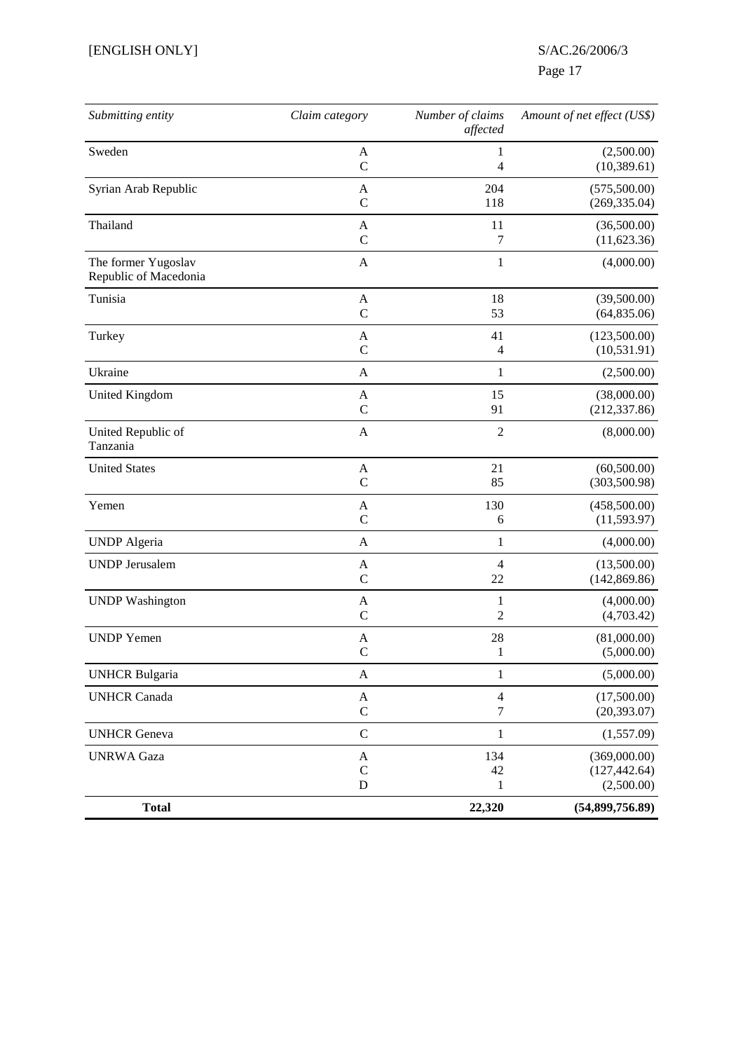# Page 17

| Submitting entity                            | Claim category | Number of claims<br>affected | Amount of net effect (US\$) |
|----------------------------------------------|----------------|------------------------------|-----------------------------|
| Sweden                                       | A              | 1                            | (2,500.00)                  |
|                                              | $\mathcal{C}$  | 4                            | (10, 389.61)                |
| Syrian Arab Republic                         | A              | 204                          | (575,500.00)                |
|                                              | $\mathcal{C}$  | 118                          | (269, 335.04)               |
| Thailand                                     | A              | 11                           | (36,500.00)                 |
|                                              | $\mathcal{C}$  | 7                            | (11,623.36)                 |
| The former Yugoslav<br>Republic of Macedonia | $\mathbf{A}$   | 1                            | (4,000.00)                  |
| Tunisia                                      | A              | 18                           | (39,500.00)                 |
|                                              | $\mathcal{C}$  | 53                           | (64, 835.06)                |
| Turkey                                       | A              | 41                           | (123,500.00)                |
|                                              | $\mathcal{C}$  | 4                            | (10, 531.91)                |
| Ukraine                                      | A              | 1                            | (2,500.00)                  |
| <b>United Kingdom</b>                        | A              | 15                           | (38,000.00)                 |
|                                              | $\mathcal{C}$  | 91                           | (212, 337.86)               |
| United Republic of<br>Tanzania               | A              | $\overline{c}$               | (8,000.00)                  |
| <b>United States</b>                         | A              | 21                           | (60,500.00)                 |
|                                              | $\mathcal{C}$  | 85                           | (303, 500.98)               |
| Yemen                                        | A              | 130                          | (458,500.00)                |
|                                              | $\mathsf{C}$   | 6                            | (11, 593.97)                |
| <b>UNDP</b> Algeria                          | $\mathbf{A}$   | 1                            | (4,000.00)                  |
| <b>UNDP</b> Jerusalem                        | A              | 4                            | (13,500.00)                 |
|                                              | $\mathbf C$    | 22                           | (142, 869.86)               |
| <b>UNDP</b> Washington                       | A              | 1                            | (4,000.00)                  |
|                                              | $\mathbf C$    | 2                            | (4,703.42)                  |
| <b>UNDP</b> Yemen                            | A              | 28                           | (81,000.00)                 |
|                                              | $\mathcal{C}$  | 1                            | (5,000.00)                  |
| <b>UNHCR Bulgaria</b>                        | $\mathbf{A}$   | $\mathbf{1}$                 | (5,000.00)                  |
| <b>UNHCR Canada</b>                          | $\mathbf{A}$   | $\overline{4}$               | (17,500.00)                 |
|                                              | $\mathbf C$    | $\tau$                       | (20, 393.07)                |
| <b>UNHCR</b> Geneva                          | $\mathbf C$    | $\mathbf{1}$                 | (1,557.09)                  |
| <b>UNRWA</b> Gaza                            | A              | 134                          | (369,000.00)                |
|                                              | $\mathbf C$    | 42                           | (127, 442.64)               |
|                                              | $\mathbf D$    | 1                            | (2,500.00)                  |
| <b>Total</b>                                 |                | 22,320                       | (54,899,756.89)             |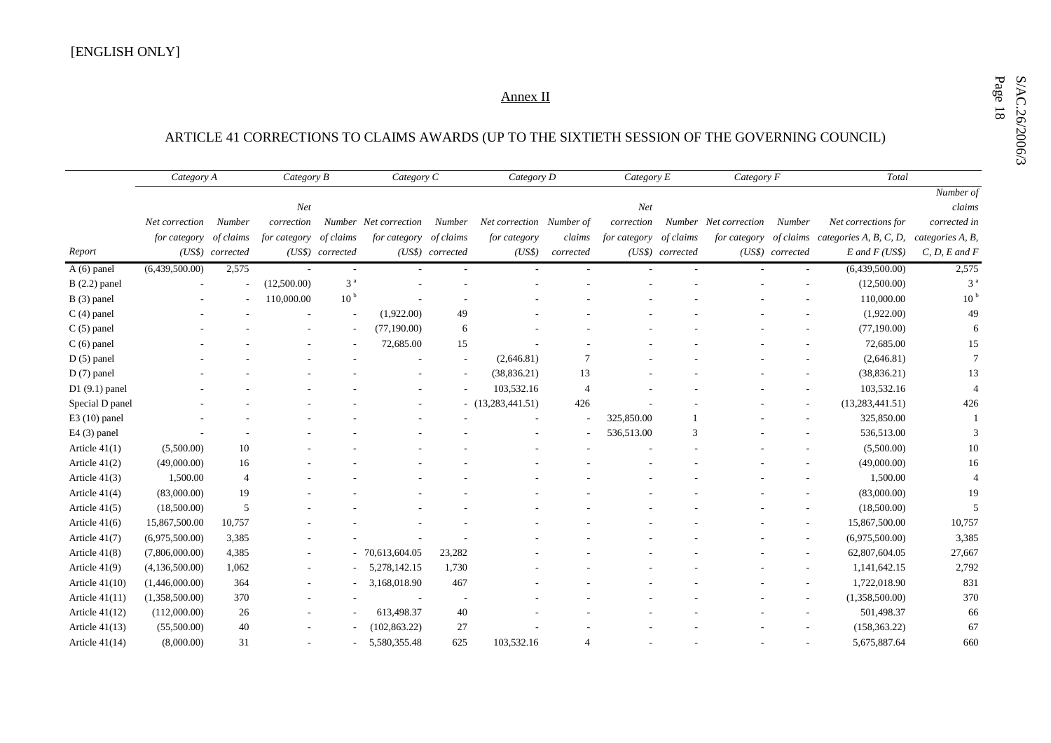# $\underbrace{\text{Annez II}}_{\text{ARTICLE 41 CORRECTIONS\ TO\ CLAIMS\ AWARDS\ (UP\ TO\ THE\ SIXTIETH\ SESSION\ OF\ THE\ GOVERNING\ COUNCIL)}$

|                  | Category A     |                  | Category B   |                  | Category C            |                  | Category D               |                | Category E   |                  | Category F            |                  | Total                            |                               |
|------------------|----------------|------------------|--------------|------------------|-----------------------|------------------|--------------------------|----------------|--------------|------------------|-----------------------|------------------|----------------------------------|-------------------------------|
|                  |                |                  |              |                  |                       |                  |                          |                |              |                  |                       |                  |                                  | $\overline{\text{Number of}}$ |
|                  |                |                  | Net          |                  |                       |                  |                          |                | Net          |                  |                       |                  |                                  | claims                        |
|                  | Net correction | Number           | correction   |                  | Number Net correction | Number           | Net correction Number of |                | correction   |                  | Number Net correction | Number           | Net corrections for              | corrected in                  |
|                  | for category   | of claims        | for category | of claims        | for category          | of claims        | for category             | claims         | for category | of claims        | for category          |                  | of claims categories A, B, C, D, | categories A, B,              |
| Report           |                | (US\$) corrected |              | (US\$) corrected |                       | (US\$) corrected | (US\$)                   | corrected      |              | (US\$) corrected |                       | (US\$) corrected | $E$ and $F$ (US\$)               | $C, D, E$ and $F$             |
| A (6) panel      | (6,439,500.00) | 2,575            |              |                  |                       |                  |                          |                |              |                  |                       |                  | (6,439,500.00)                   | 2,575                         |
| $B(2.2)$ panel   |                |                  | (12,500.00)  | 3 <sup>a</sup>   |                       |                  |                          |                |              |                  |                       |                  | (12,500.00)                      | 3 <sup>a</sup>                |
| B (3) panel      |                |                  | 110,000.00   | 10 <sup>b</sup>  |                       |                  |                          |                |              |                  |                       |                  | 110,000.00                       | 10 <sup>b</sup>               |
| $C(4)$ panel     |                |                  |              |                  | (1,922.00)            | 49               |                          |                |              |                  |                       |                  | (1,922.00)                       | 49                            |
| $C(5)$ panel     |                |                  |              |                  | (77,190.00)           | 6                |                          |                |              |                  |                       |                  | (77,190.00)                      |                               |
| $C(6)$ panel     |                |                  |              |                  | 72,685.00             | 15               |                          |                |              |                  |                       |                  | 72,685.00                        | 15                            |
| $D(5)$ panel     |                |                  |              |                  |                       |                  | (2,646.81)               | $\overline{7}$ |              |                  |                       |                  | (2,646.81)                       | 7                             |
| $D(7)$ panel     |                |                  |              |                  |                       |                  | (38, 836.21)             | 13             |              |                  |                       |                  | (38, 836.21)                     | 13                            |
| $D1(9.1)$ panel  |                |                  |              |                  |                       |                  | 103,532.16               | 4              |              |                  |                       |                  | 103,532.16                       | $\overline{4}$                |
| Special D panel  |                |                  |              |                  |                       |                  | (13,283,441.51)          | 426            |              |                  |                       |                  | (13, 283, 441.51)                | 426                           |
| $E3(10)$ panel   |                |                  |              |                  |                       |                  |                          |                | 325,850.00   |                  |                       |                  | 325,850.00                       |                               |
| $E4(3)$ panel    |                |                  |              |                  |                       |                  |                          |                | 536,513.00   | $\mathcal{R}$    |                       |                  | 536,513.00                       | $\mathcal{R}$                 |
| Article $41(1)$  | (5,500.00)     | 10               |              |                  |                       |                  |                          |                |              |                  |                       |                  | (5,500.00)                       | 10                            |
| Article $41(2)$  | (49,000.00)    | 16               |              |                  |                       |                  |                          |                |              |                  |                       |                  | (49,000.00)                      | 16                            |
| Article $41(3)$  | 1,500.00       | $\overline{4}$   |              |                  |                       |                  |                          |                |              |                  |                       |                  | 1,500.00                         | $\overline{4}$                |
| Article 41(4)    | (83,000.00)    | 19               |              |                  |                       |                  |                          |                |              |                  |                       |                  | (83,000.00)                      | 19                            |
| Article $41(5)$  | (18,500.00)    | 5                |              |                  |                       |                  |                          |                |              |                  |                       |                  | (18,500.00)                      | 5                             |
| Article $41(6)$  | 15,867,500.00  | 10,757           |              |                  |                       |                  |                          |                |              |                  |                       |                  | 15,867,500.00                    | 10,757                        |
| Article 41(7)    | (6,975,500.00) | 3,385            |              |                  |                       |                  |                          |                |              |                  |                       |                  | (6,975,500.00)                   | 3,385                         |
| Article 41(8)    | (7,806,000.00) | 4,385            |              |                  | 70,613,604.05         | 23,282           |                          |                |              |                  |                       |                  | 62,807,604.05                    | 27,667                        |
| Article $41(9)$  | (4,136,500.00) | 1,062            |              |                  | 5,278,142.15          | 1,730            |                          |                |              |                  |                       |                  | 1,141,642.15                     | 2,792                         |
| Article $41(10)$ | (1,446,000.00) | 364              |              |                  | 3,168,018.90          | 467              |                          |                |              |                  |                       |                  | 1,722,018.90                     | 831                           |
| Article $41(11)$ | (1,358,500.00) | 370              |              |                  |                       |                  |                          |                |              |                  |                       |                  | (1,358,500.00)                   | 370                           |
| Article $41(12)$ | (112,000.00)   | 26               |              |                  | 613,498.37            | 40               |                          |                |              |                  |                       |                  | 501,498.37                       | 66                            |
| Article $41(13)$ | (55,500.00)    | 40               |              |                  | (102, 863.22)         | 27               |                          |                |              |                  |                       |                  | (158, 363.22)                    | 67                            |
| Article $41(14)$ | (8,000.00)     | 31               |              |                  | 5,580,355.48          | 625              | 103,532.16               | $\overline{4}$ |              |                  |                       |                  | 5,675,887.64                     | 660                           |